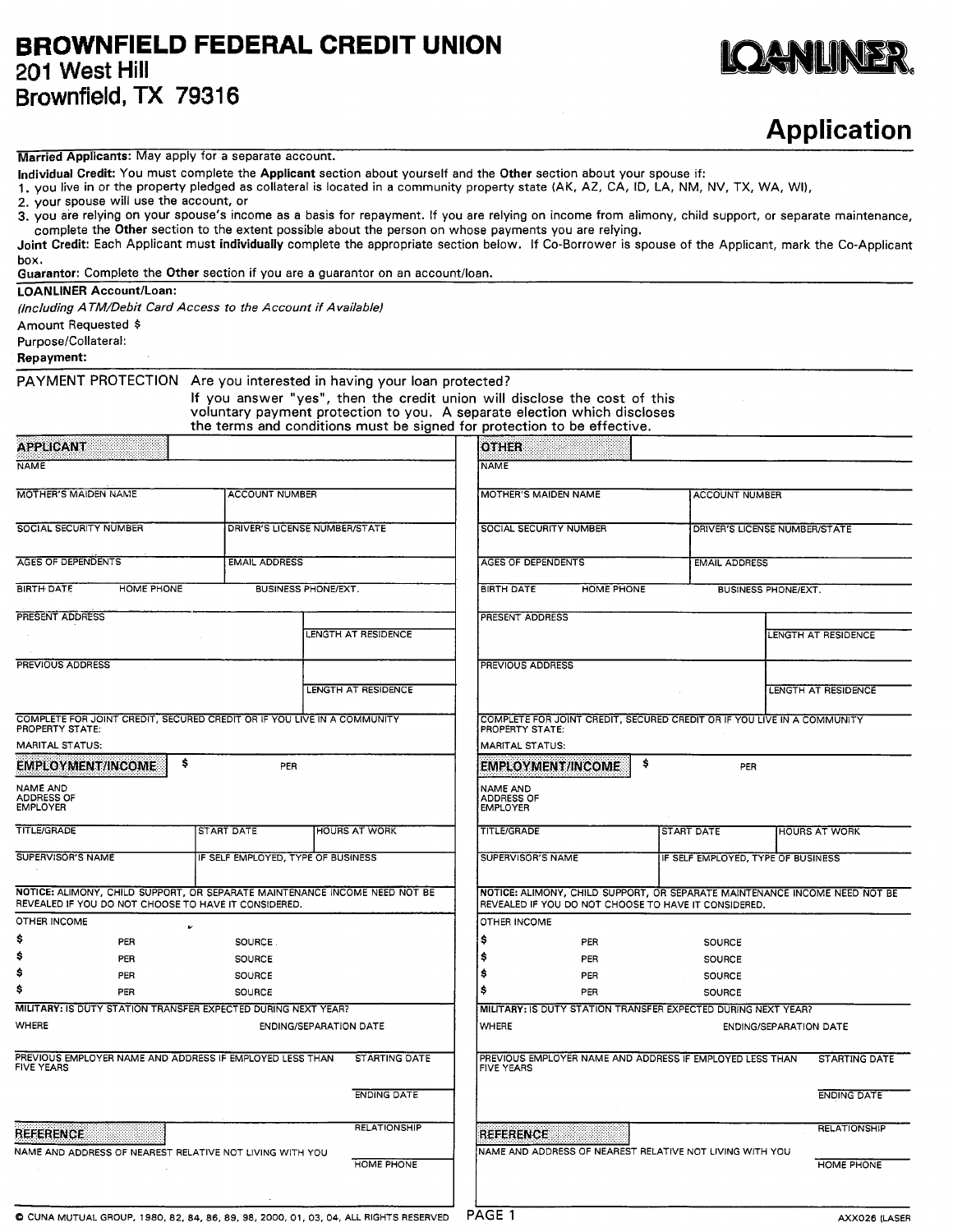## **BROWNFIELD FEDERAL CREDIT UNION 201 West Hill Brownfield, TX 79316**



## **Application**

## **Married Applicants:** May apply for a separate account.

**individual Credit:** You must complete the **Applicant** section about yourself and the **Other** section about your spouse if:

1. you live in or the property pledged as collateral is located in a community property state (AK, AZ, CA, ID, LA, NM, NV, TX, WA, Wl),

2. your spouse will use the account, or

3. you are relying on your spouse's income as a basis for repayment. If you are relying on income from alimony, child support, or separate maintenance, complete the **Other** section to the extent possible about the person on whose payments you are relying.

**Joint Credit:** Each Applicant must **individually** complete the appropriate section below. If Co-Borrower is spouse of the Applicant, mark the Co-Applicant box.

**Guarantor:** Complete the **Other** section if you are a guarantor on an account/loan.

**LOANLINER Account/Loan:** 

*(Including A TM/Debit Card Access to the Account if Available)* 

Amount Requested \$

Purpose/Collateral:

**Repayment:** 

**PAYMENT PROTECTION Are you interested in having your loan protected?** 

**If you answer "yes", then the credit union will disclose the cost of this voluntary payment protection to you. A separate election which discloses the terms and conditions must be signed for protection to be effective.** 

| <b>APPLICANT</b>                                                                                                                   |                                    |                               | <b>OTHER</b>                                            |                           |                                                                         |                                                                            |  |  |
|------------------------------------------------------------------------------------------------------------------------------------|------------------------------------|-------------------------------|---------------------------------------------------------|---------------------------|-------------------------------------------------------------------------|----------------------------------------------------------------------------|--|--|
| <b>NAME</b>                                                                                                                        |                                    |                               | <b>NAME</b>                                             |                           |                                                                         |                                                                            |  |  |
| <b>MOTHER'S MAIDEN NAME</b>                                                                                                        | ACCOUNT NUMBER                     |                               |                                                         | MOTHER'S MAIDEN NAME      |                                                                         | <b>ACCOUNT NUMBER</b>                                                      |  |  |
| <b>SOCIAL SECURITY NUMBER</b>                                                                                                      |                                    | DRIVER'S LICENSE NUMBER/STATE | SOCIAL SECURITY NUMBER                                  |                           |                                                                         | DRIVER'S LICENSE NUMBER/STATE                                              |  |  |
| <b>AGES OF DEPENDENTS</b><br><b>EMAIL ADDRESS</b>                                                                                  |                                    |                               |                                                         | <b>AGES OF DEPENDENTS</b> |                                                                         | <b>EMAIL ADDRESS</b>                                                       |  |  |
| BIRTH DATE<br>HOME PHONE                                                                                                           |                                    | <b>BUSINESS PHONE/EXT.</b>    | <b>BIRTH DATE</b>                                       | <b>HOME PHONE</b>         |                                                                         | <b>BUSINESS PHONE/EXT.</b>                                                 |  |  |
| <b>PRESENT ADDRESS</b>                                                                                                             |                                    |                               | <b>PRESENT ADDRESS</b>                                  |                           |                                                                         |                                                                            |  |  |
|                                                                                                                                    |                                    | LENGTH AT RESIDENCE           |                                                         |                           |                                                                         | LENGTH AT RESIDENCE                                                        |  |  |
| <b>PREVIOUS ADDRESS</b>                                                                                                            |                                    |                               | <b>PREVIOUS ADDRESS</b>                                 |                           |                                                                         |                                                                            |  |  |
|                                                                                                                                    |                                    | LENGTH AT RESIDENCE           |                                                         |                           |                                                                         | LENGTH AT RESIDENCE                                                        |  |  |
| COMPLETE FOR JOINT CREDIT, SECURED CREDIT OR IF YOU LIVE IN A COMMUNITY<br>PROPERTY STATE:                                         |                                    |                               | PROPERTY STATE:                                         |                           | COMPLETE FOR JOINT CREDIT, SECURED CREDIT OR IF YOU LIVE IN A COMMUNITY |                                                                            |  |  |
| <b>MARITAL STATUS:</b>                                                                                                             |                                    |                               | <b>MARITAL STATUS:</b>                                  |                           |                                                                         |                                                                            |  |  |
| \$<br><b>EMPLOYMENT/INCOME</b>                                                                                                     | <b>EMPLOYMENT/INCOME</b>           | \$                            | PER                                                     |                           |                                                                         |                                                                            |  |  |
| NAME AND<br>ADDRESS OF<br>EMPLOYER                                                                                                 |                                    |                               | <b>NAME AND</b><br><b>ADDRESS OF</b><br><b>EMPLOYER</b> |                           |                                                                         |                                                                            |  |  |
| <b>TITLE/GRADE</b>                                                                                                                 | <b>START DATE</b>                  | <b>HOURS AT WORK</b>          | <b>TITLE/GRADE</b>                                      |                           | START DATE                                                              | <b>HOURS AT WORK</b>                                                       |  |  |
| <b>SUPERVISOR'S NAME</b>                                                                                                           | IF SELF EMPLOYED, TYPE OF BUSINESS |                               | SUPERVISOR'S NAME                                       |                           | IF SELF EMPLOYED, TYPE OF BUSINESS                                      |                                                                            |  |  |
| NOTICE: ALIMONY, CHILD SUPPORT, OR SEPARATE MAINTENANCE INCOME NEED NOT BE<br>REVEALED IF YOU DO NOT CHOOSE TO HAVE IT CONSIDERED. |                                    |                               |                                                         |                           | REVEALED IF YOU DO NOT CHOOSE TO HAVE IT CONSIDERED.                    | NOTICE: ALIMONY, CHILD SUPPORT, OR SEPARATE MAINTENANCE INCOME NEED NOT BE |  |  |
| OTHER INCOME                                                                                                                       |                                    |                               | OTHER INCOME                                            |                           |                                                                         |                                                                            |  |  |
| \$<br>PER                                                                                                                          | <b>SOURCE</b>                      |                               | \$                                                      | PER                       | SOURCE                                                                  |                                                                            |  |  |
| \$<br>PER                                                                                                                          | <b>SOURCE</b>                      |                               | Ś                                                       | PER                       | SOURCE                                                                  |                                                                            |  |  |
| \$<br>PER<br>\$                                                                                                                    | <b>SOURCE</b>                      |                               | Ś                                                       | PER                       | SOURCE                                                                  |                                                                            |  |  |
| PER                                                                                                                                | <b>SOURCE</b>                      |                               | s                                                       | PER                       | <b>SOURCE</b>                                                           |                                                                            |  |  |
| MILITARY: IS DUTY STATION TRANSFER EXPECTED DURING NEXT YEAR?                                                                      |                                    |                               |                                                         |                           | MILITARY: IS DUTY STATION TRANSFER EXPECTED DURING NEXT YEAR?           |                                                                            |  |  |
| WHERE                                                                                                                              |                                    | <b>ENDING/SEPARATION DATE</b> | WHERE                                                   |                           |                                                                         | <b>ENDING/SEPARATION DATE</b>                                              |  |  |
| PREVIOUS EMPLOYER NAME AND ADDRESS IF EMPLOYED LESS THAN<br><b>FIVE YEARS</b>                                                      |                                    | <b>STARTING DATE</b>          | <b>FIVE YEARS</b>                                       |                           | PREVIOUS EMPLOYER NAME AND ADDRESS IF EMPLOYED LESS THAN                | STARTING DATE                                                              |  |  |
|                                                                                                                                    |                                    | <b>ENDING DATE</b>            |                                                         |                           |                                                                         | <b>ENDING DATE</b>                                                         |  |  |
| <b>REFERENCE</b>                                                                                                                   |                                    | <b>RELATIONSHIP</b>           | <b>REFERENCE</b>                                        |                           |                                                                         | <b>RELATIONSHIP</b>                                                        |  |  |
| NAME AND ADDRESS OF NEAREST RELATIVE NOT LIVING WITH YOU                                                                           |                                    | <b>HOME PHONE</b>             |                                                         |                           | INAME AND ADDRESS OF NEAREST RELATIVE NOT LIVING WITH YOU               | <b>HOME PHONE</b>                                                          |  |  |
|                                                                                                                                    |                                    |                               |                                                         |                           |                                                                         |                                                                            |  |  |